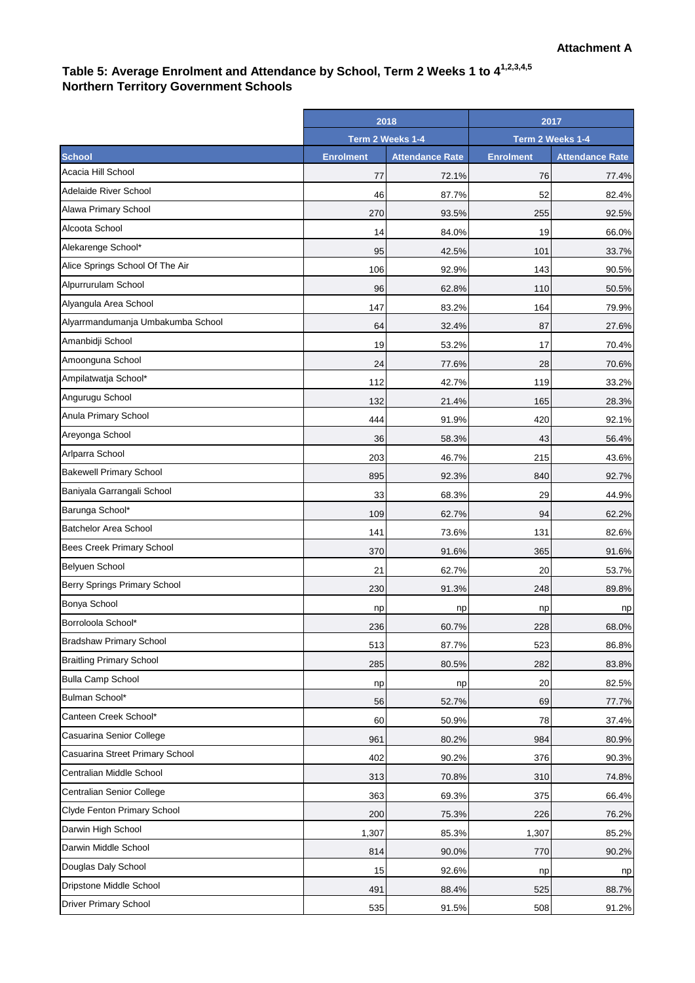## **Table 5: Average Enrolment and Attendance by School, Term 2 Weeks 1 to 41,2,3,4,5 Northern Territory Government Schools**

|                                   | 2018             |                        | 2017             |                        |
|-----------------------------------|------------------|------------------------|------------------|------------------------|
|                                   | Term 2 Weeks 1-4 |                        | Term 2 Weeks 1-4 |                        |
| <b>School</b>                     | <b>Enrolment</b> | <b>Attendance Rate</b> | <b>Enrolment</b> | <b>Attendance Rate</b> |
| Acacia Hill School                | 77               | 72.1%                  | 76               | 77.4%                  |
| Adelaide River School             | 46               | 87.7%                  | 52               | 82.4%                  |
| Alawa Primary School              | 270              | 93.5%                  | 255              | 92.5%                  |
| Alcoota School                    | 14               | 84.0%                  | 19               | 66.0%                  |
| Alekarenge School*                | 95               | 42.5%                  | 101              | 33.7%                  |
| Alice Springs School Of The Air   | 106              | 92.9%                  | 143              | 90.5%                  |
| Alpurrurulam School               | 96               | 62.8%                  | 110              | 50.5%                  |
| Alyangula Area School             | 147              | 83.2%                  | 164              | 79.9%                  |
| Alyarrmandumanja Umbakumba School | 64               | 32.4%                  | 87               | 27.6%                  |
| Amanbidji School                  | 19               | 53.2%                  | 17               | 70.4%                  |
| Amoonguna School                  | 24               | 77.6%                  | 28               | 70.6%                  |
| Ampilatwatja School*              | 112              | 42.7%                  | 119              | 33.2%                  |
| Angurugu School                   | 132              | 21.4%                  | 165              | 28.3%                  |
| Anula Primary School              | 444              | 91.9%                  | 420              | 92.1%                  |
| Areyonga School                   | 36               | 58.3%                  | 43               | 56.4%                  |
| Arlparra School                   | 203              | 46.7%                  | 215              | 43.6%                  |
| <b>Bakewell Primary School</b>    | 895              | 92.3%                  | 840              | 92.7%                  |
| Baniyala Garrangali School        | 33               | 68.3%                  | 29               | 44.9%                  |
| Barunga School*                   | 109              | 62.7%                  | 94               | 62.2%                  |
| <b>Batchelor Area School</b>      | 141              | 73.6%                  | 131              | 82.6%                  |
| Bees Creek Primary School         | 370              | 91.6%                  | 365              | 91.6%                  |
| <b>Belyuen School</b>             | 21               | 62.7%                  | 20               | 53.7%                  |
| Berry Springs Primary School      | 230              | 91.3%                  | 248              | 89.8%                  |
| Bonya School                      | np               | np                     | np               | np                     |
| Borroloola School*                | 236              | 60.7%                  | 228              | 68.0%                  |
| <b>Bradshaw Primary School</b>    | 513              | 87.7%                  | 523              | 86.8%                  |
| <b>Braitling Primary School</b>   | 285              | 80.5%                  | 282              | 83.8%                  |
| <b>Bulla Camp School</b>          | np               | np                     | 20               | 82.5%                  |
| Bulman School*                    | 56               | 52.7%                  | 69               | 77.7%                  |
| Canteen Creek School*             | 60               | 50.9%                  | 78               | 37.4%                  |
| Casuarina Senior College          | 961              | 80.2%                  | 984              | 80.9%                  |
| Casuarina Street Primary School   | 402              | 90.2%                  | 376              | 90.3%                  |
| Centralian Middle School          | 313              | 70.8%                  | 310              | 74.8%                  |
| Centralian Senior College         | 363              | 69.3%                  | 375              | 66.4%                  |
| Clyde Fenton Primary School       | 200              | 75.3%                  | 226              | 76.2%                  |
| Darwin High School                | 1,307            | 85.3%                  | 1,307            | 85.2%                  |
| Darwin Middle School              | 814              | 90.0%                  | 770              | 90.2%                  |
| Douglas Daly School               | 15               | 92.6%                  | np               | np                     |
| Dripstone Middle School           | 491              | 88.4%                  | 525              | 88.7%                  |
| <b>Driver Primary School</b>      | 535              | 91.5%                  | 508              | 91.2%                  |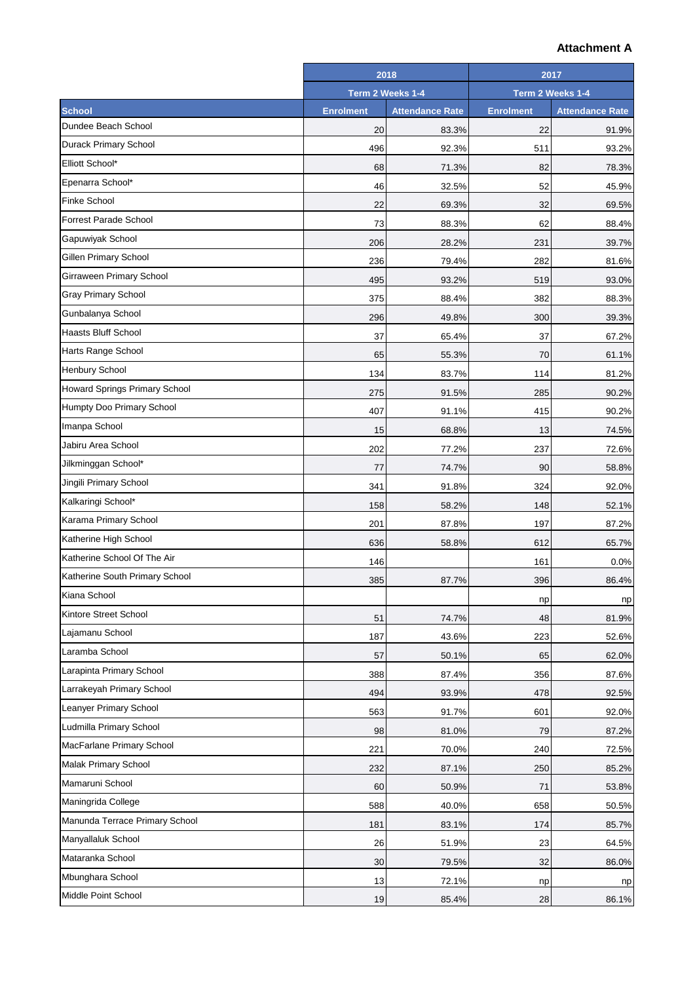## **Attachment A**

|                                      | 2018             |                        | 2017             |                        |
|--------------------------------------|------------------|------------------------|------------------|------------------------|
|                                      | Term 2 Weeks 1-4 |                        | Term 2 Weeks 1-4 |                        |
| <b>School</b>                        | <b>Enrolment</b> | <b>Attendance Rate</b> | <b>Enrolment</b> | <b>Attendance Rate</b> |
| Dundee Beach School                  | 20               | 83.3%                  | 22               | 91.9%                  |
| <b>Durack Primary School</b>         | 496              | 92.3%                  | 511              | 93.2%                  |
| Elliott School*                      | 68               | 71.3%                  | 82               | 78.3%                  |
| Epenarra School*                     | 46               | 32.5%                  | 52               | 45.9%                  |
| <b>Finke School</b>                  | 22               | 69.3%                  | 32               | 69.5%                  |
| <b>Forrest Parade School</b>         | 73               | 88.3%                  | 62               | 88.4%                  |
| Gapuwiyak School                     | 206              | 28.2%                  | 231              | 39.7%                  |
| Gillen Primary School                | 236              | 79.4%                  | 282              | 81.6%                  |
| Girraween Primary School             | 495              | 93.2%                  | 519              | 93.0%                  |
| <b>Gray Primary School</b>           | 375              | 88.4%                  | 382              | 88.3%                  |
| Gunbalanya School                    | 296              | 49.8%                  | 300              | 39.3%                  |
| <b>Haasts Bluff School</b>           | 37               | 65.4%                  | 37               | 67.2%                  |
| Harts Range School                   | 65               | 55.3%                  | 70               | 61.1%                  |
| Henbury School                       | 134              | 83.7%                  | 114              | 81.2%                  |
| <b>Howard Springs Primary School</b> | 275              | 91.5%                  | 285              | 90.2%                  |
| Humpty Doo Primary School            | 407              | 91.1%                  | 415              | 90.2%                  |
| Imanpa School                        | 15               | 68.8%                  | 13               | 74.5%                  |
| Jabiru Area School                   | 202              | 77.2%                  | 237              | 72.6%                  |
| Jilkminggan School*                  | 77               | 74.7%                  | 90               | 58.8%                  |
| Jingili Primary School               | 341              | 91.8%                  | 324              | 92.0%                  |
| Kalkaringi School*                   | 158              | 58.2%                  | 148              | 52.1%                  |
| Karama Primary School                | 201              | 87.8%                  | 197              | 87.2%                  |
| Katherine High School                | 636              | 58.8%                  | 612              | 65.7%                  |
| Katherine School Of The Air          | 146              |                        | 161              | 0.0%                   |
| Katherine South Primary School       | 385              | 87.7%                  | 396              | 86.4%                  |
| Kiana School                         |                  |                        | np               | np                     |
| Kintore Street School                | 51               | 74.7%                  | 48               | 81.9%                  |
| Lajamanu School                      | 187              | 43.6%                  | 223              | 52.6%                  |
| Laramba School                       | 57               | 50.1%                  | 65               | 62.0%                  |
| Larapinta Primary School             | 388              | 87.4%                  | 356              | 87.6%                  |
| Larrakeyah Primary School            | 494              | 93.9%                  | 478              | 92.5%                  |
| Leanyer Primary School               | 563              | 91.7%                  | 601              | 92.0%                  |
| Ludmilla Primary School              | 98               | 81.0%                  | 79               | 87.2%                  |
| MacFarlane Primary School            | 221              | 70.0%                  | 240              | 72.5%                  |
| <b>Malak Primary School</b>          | 232              | 87.1%                  | 250              | 85.2%                  |
| Mamaruni School                      | 60               | 50.9%                  | 71               | 53.8%                  |
| Maningrida College                   | 588              | 40.0%                  | 658              | 50.5%                  |
| Manunda Terrace Primary School       | 181              | 83.1%                  | 174              | 85.7%                  |
| Manyallaluk School                   | 26               | 51.9%                  | 23               | 64.5%                  |
| Mataranka School                     | 30               | 79.5%                  | 32               | 86.0%                  |
| Mbunghara School                     | 13               | 72.1%                  | np               | np                     |
| Middle Point School                  | 19               | 85.4%                  | 28               | 86.1%                  |
|                                      |                  |                        |                  |                        |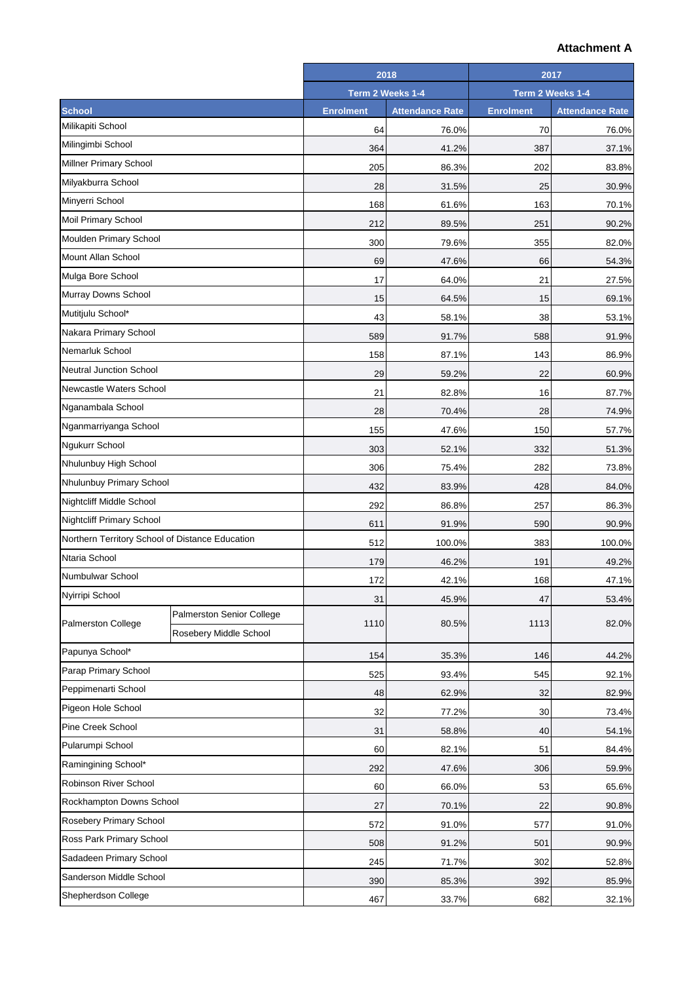## **Attachment A**

|                                                 |                           |                  | 2018                   |                  | 2017                   |
|-------------------------------------------------|---------------------------|------------------|------------------------|------------------|------------------------|
|                                                 |                           | Term 2 Weeks 1-4 |                        | Term 2 Weeks 1-4 |                        |
| <b>School</b>                                   |                           | <b>Enrolment</b> | <b>Attendance Rate</b> | <b>Enrolment</b> | <b>Attendance Rate</b> |
| Milikapiti School                               |                           | 64               | 76.0%                  | 70               | 76.0%                  |
| Milingimbi School                               |                           | 364              | 41.2%                  | 387              | 37.1%                  |
| Millner Primary School                          |                           | 205              | 86.3%                  | 202              | 83.8%                  |
| Milyakburra School                              |                           | 28               | 31.5%                  | 25               | 30.9%                  |
| Minyerri School                                 |                           | 168              | 61.6%                  | 163              | 70.1%                  |
| Moil Primary School                             |                           | 212              | 89.5%                  | 251              | 90.2%                  |
| Moulden Primary School                          |                           | 300              | 79.6%                  | 355              | 82.0%                  |
| Mount Allan School                              |                           | 69               | 47.6%                  | 66               | 54.3%                  |
| Mulga Bore School                               |                           | 17               | 64.0%                  | 21               | 27.5%                  |
| Murray Downs School                             |                           | 15               | 64.5%                  | 15               | 69.1%                  |
| Mutitjulu School*                               |                           | 43               | 58.1%                  | 38               | 53.1%                  |
| Nakara Primary School                           |                           | 589              | 91.7%                  | 588              | 91.9%                  |
| Nemarluk School                                 |                           | 158              | 87.1%                  | 143              | 86.9%                  |
| <b>Neutral Junction School</b>                  |                           | 29               | 59.2%                  | 22               | 60.9%                  |
| Newcastle Waters School                         |                           | 21               | 82.8%                  | 16               | 87.7%                  |
| Nganambala School                               |                           | 28               | 70.4%                  | 28               | 74.9%                  |
| Nganmarriyanga School                           |                           | 155              | 47.6%                  | 150              | 57.7%                  |
| Ngukurr School                                  |                           | 303              | 52.1%                  | 332              | 51.3%                  |
| Nhulunbuy High School                           |                           | 306              | 75.4%                  | 282              | 73.8%                  |
| Nhulunbuy Primary School                        |                           | 432              | 83.9%                  | 428              | 84.0%                  |
| Nightcliff Middle School                        |                           | 292              | 86.8%                  | 257              | 86.3%                  |
| <b>Nightcliff Primary School</b>                |                           | 611              | 91.9%                  | 590              | 90.9%                  |
| Northern Territory School of Distance Education |                           | 512              | 100.0%                 | 383              | 100.0%                 |
| Ntaria School                                   |                           | 179              | 46.2%                  | 191              | 49.2%                  |
| Numbulwar School                                |                           | 172              | 42.1%                  | 168              | 47.1%                  |
| Nyirripi School                                 |                           | 31               | 45.9%                  | 47               | 53.4%                  |
|                                                 | Palmerston Senior College |                  |                        |                  |                        |
| Palmerston College                              | Rosebery Middle School    | 1110             | 80.5%                  | 1113             | 82.0%                  |
| Papunya School*                                 |                           | 154              | 35.3%                  | 146              | 44.2%                  |
| Parap Primary School                            |                           | 525              | 93.4%                  | 545              | 92.1%                  |
| Peppimenarti School                             |                           | 48               | 62.9%                  | 32               | 82.9%                  |
| Pigeon Hole School                              |                           | 32               | 77.2%                  | 30               | 73.4%                  |
| Pine Creek School                               |                           | 31               | 58.8%                  | 40               | 54.1%                  |
| Pularumpi School                                |                           | 60               | 82.1%                  | 51               | 84.4%                  |
| Ramingining School*                             |                           | 292              | 47.6%                  | 306              | 59.9%                  |
| Robinson River School                           |                           | 60               | 66.0%                  | 53               | 65.6%                  |
| Rockhampton Downs School                        |                           | 27               | 70.1%                  | 22               | 90.8%                  |
| Rosebery Primary School                         |                           | 572              | 91.0%                  | 577              |                        |
| Ross Park Primary School                        |                           | 508              | 91.2%                  | 501              | 91.0%<br>90.9%         |
| Sadadeen Primary School                         |                           | 245              | 71.7%                  | 302              | 52.8%                  |
| Sanderson Middle School                         |                           | 390              |                        | 392              |                        |
| Shepherdson College                             |                           |                  | 85.3%                  |                  | 85.9%                  |
|                                                 |                           | 467              | 33.7%                  | 682              | 32.1%                  |